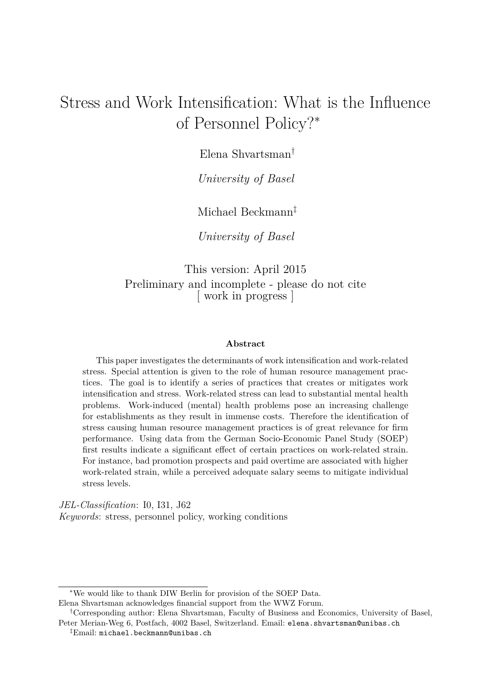# Stress and Work Intensification: What is the Influence of Personnel Policy?<sup>∗</sup>

Elena Shvartsman†

*University of Basel*

Michael Beckmann‡

*University of Basel*

This version: April 2015 Preliminary and incomplete - please do not cite [ work in progress ]

#### **Abstract**

This paper investigates the determinants of work intensification and work-related stress. Special attention is given to the role of human resource management practices. The goal is to identify a series of practices that creates or mitigates work intensification and stress. Work-related stress can lead to substantial mental health problems. Work-induced (mental) health problems pose an increasing challenge for establishments as they result in immense costs. Therefore the identification of stress causing human resource management practices is of great relevance for firm performance. Using data from the German Socio-Economic Panel Study (SOEP) first results indicate a significant effect of certain practices on work-related strain. For instance, bad promotion prospects and paid overtime are associated with higher work-related strain, while a perceived adequate salary seems to mitigate individual stress levels.

*JEL-Classification*: I0, I31, J62 *Keywords*: stress, personnel policy, working conditions

<sup>∗</sup>We would like to thank DIW Berlin for provision of the SOEP Data.

Elena Shvartsman acknowledges financial support from the WWZ Forum.

<sup>†</sup>Corresponding author: Elena Shvartsman, Faculty of Business and Economics, University of Basel, Peter Merian-Weg 6, Postfach, 4002 Basel, Switzerland. Email: elena.shvartsman@unibas.ch

<sup>‡</sup>Email: michael.beckmann@unibas.ch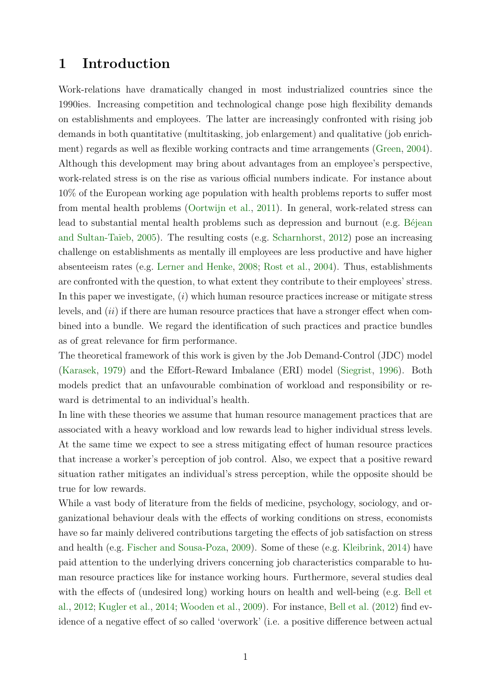### **1 Introduction**

Work-relations have dramatically changed in most industrialized countries since the 1990ies. Increasing competition and technological change pose high flexibility demands on establishments and employees. The latter are increasingly confronted with rising job demands in both quantitative (multitasking, job enlargement) and qualitative (job enrichment) regards as well as flexible working contracts and time arrangements [\(Green,](#page-13-0) [2004\)](#page-13-0). Although this development may bring about advantages from an employee's perspective, work-related stress is on the rise as various official numbers indicate. For instance about 10% of the European working age population with health problems reports to suffer most from mental health problems [\(Oortwijn et al.,](#page-14-0) [2011\)](#page-14-0). In general, work-related stress can lead to substantial mental health problems such as depression and burnout (e.g. [Béjean](#page-13-1) [and Sultan-Taïeb,](#page-13-1) [2005\)](#page-13-1). The resulting costs (e.g. [Scharnhorst,](#page-14-1) [2012\)](#page-14-1) pose an increasing challenge on establishments as mentally ill employees are less productive and have higher absenteeism rates (e.g. [Lerner and Henke,](#page-14-2) [2008;](#page-14-2) [Rost et al.,](#page-14-3) [2004\)](#page-14-3). Thus, establishments are confronted with the question, to what extent they contribute to their employees' stress. In this paper we investigate, (*i*) which human resource practices increase or mitigate stress levels, and (*ii*) if there are human resource practices that have a stronger effect when combined into a bundle. We regard the identification of such practices and practice bundles as of great relevance for firm performance.

The theoretical framework of this work is given by the Job Demand-Control (JDC) model [\(Karasek,](#page-13-2) [1979\)](#page-13-2) and the Effort-Reward Imbalance (ERI) model [\(Siegrist,](#page-14-4) [1996\)](#page-14-4). Both models predict that an unfavourable combination of workload and responsibility or reward is detrimental to an individual's health.

In line with these theories we assume that human resource management practices that are associated with a heavy workload and low rewards lead to higher individual stress levels. At the same time we expect to see a stress mitigating effect of human resource practices that increase a worker's perception of job control. Also, we expect that a positive reward situation rather mitigates an individual's stress perception, while the opposite should be true for low rewards.

While a vast body of literature from the fields of medicine, psychology, sociology, and organizational behaviour deals with the effects of working conditions on stress, economists have so far mainly delivered contributions targeting the effects of job satisfaction on stress and health (e.g. [Fischer and Sousa-Poza,](#page-13-3) [2009\)](#page-13-3). Some of these (e.g. [Kleibrink,](#page-13-4) [2014\)](#page-13-4) have paid attention to the underlying drivers concerning job characteristics comparable to human resource practices like for instance working hours. Furthermore, several studies deal with the effects of (undesired long) working hours on health and well-being (e.g. [Bell et](#page-13-5) [al.,](#page-13-5) [2012;](#page-13-5) [Kugler et al.,](#page-14-5) [2014;](#page-14-5) [Wooden et al.,](#page-15-0) [2009\)](#page-15-0). For instance, [Bell et al.](#page-13-5) [\(2012\)](#page-13-5) find evidence of a negative effect of so called 'overwork' (i.e. a positive difference between actual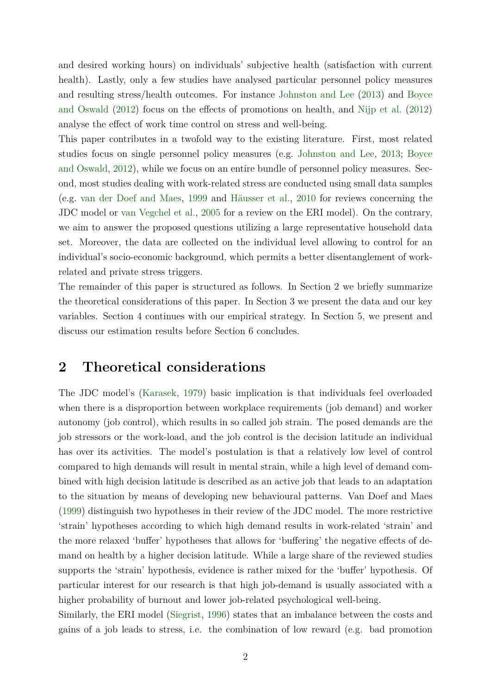and desired working hours) on individuals' subjective health (satisfaction with current health). Lastly, only a few studies have analysed particular personnel policy measures and resulting stress/health outcomes. For instance [Johnston and Lee](#page-13-6) [\(2013\)](#page-13-6) and [Boyce](#page-13-7) [and Oswald](#page-13-7) [\(2012\)](#page-13-7) focus on the effects of promotions on health, and [Nijp et al.](#page-14-6) [\(2012\)](#page-14-6) analyse the effect of work time control on stress and well-being.

This paper contributes in a twofold way to the existing literature. First, most related studies focus on single personnel policy measures (e.g. [Johnston and Lee,](#page-13-6) [2013;](#page-13-6) [Boyce](#page-13-7) [and Oswald,](#page-13-7) [2012\)](#page-13-7), while we focus on an entire bundle of personnel policy measures. Second, most studies dealing with work-related stress are conducted using small data samples (e.g. [van der Doef and Maes,](#page-15-1) [1999](#page-15-1) and [Häusser et al.,](#page-13-8) [2010](#page-13-8) for reviews concerning the JDC model or [van Vegchel et al.,](#page-15-2) [2005](#page-15-2) for a review on the ERI model). On the contrary, we aim to answer the proposed questions utilizing a large representative household data set. Moreover, the data are collected on the individual level allowing to control for an individual's socio-economic background, which permits a better disentanglement of workrelated and private stress triggers.

The remainder of this paper is structured as follows. In Section [2](#page-2-0) we briefly summarize the theoretical considerations of this paper. In Section [3](#page-3-0) we present the data and our key variables. Section [4](#page-8-0) continues with our empirical strategy. In Section [5,](#page-9-0) we present and discuss our estimation results before Section [6](#page-11-0) concludes.

## <span id="page-2-0"></span>**2 Theoretical considerations**

The JDC model's [\(Karasek,](#page-13-2) [1979\)](#page-13-2) basic implication is that individuals feel overloaded when there is a disproportion between workplace requirements (job demand) and worker autonomy (job control), which results in so called job strain. The posed demands are the job stressors or the work-load, and the job control is the decision latitude an individual has over its activities. The model's postulation is that a relatively low level of control compared to high demands will result in mental strain, while a high level of demand combined with high decision latitude is described as an active job that leads to an adaptation to the situation by means of developing new behavioural patterns. Van Doef and Maes [\(1999\)](#page-15-1) distinguish two hypotheses in their review of the JDC model. The more restrictive 'strain' hypotheses according to which high demand results in work-related 'strain' and the more relaxed 'buffer' hypotheses that allows for 'buffering' the negative effects of demand on health by a higher decision latitude. While a large share of the reviewed studies supports the 'strain' hypothesis, evidence is rather mixed for the 'buffer' hypothesis. Of particular interest for our research is that high job-demand is usually associated with a higher probability of burnout and lower job-related psychological well-being.

Similarly, the ERI model [\(Siegrist,](#page-14-4) [1996\)](#page-14-4) states that an imbalance between the costs and gains of a job leads to stress, i.e. the combination of low reward (e.g. bad promotion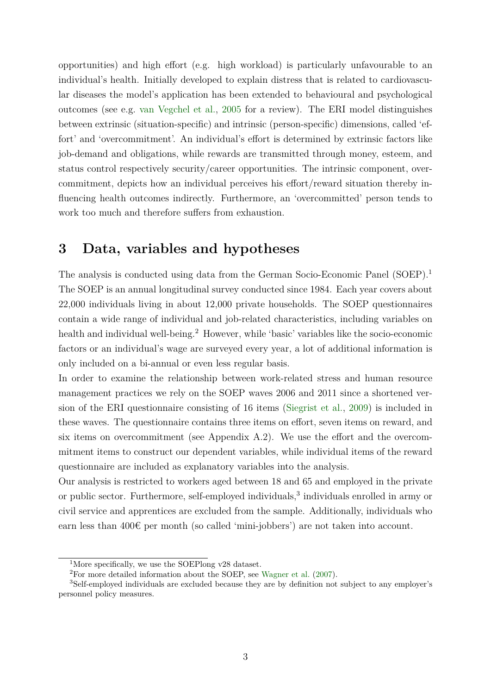opportunities) and high effort (e.g. high workload) is particularly unfavourable to an individual's health. Initially developed to explain distress that is related to cardiovascular diseases the model's application has been extended to behavioural and psychological outcomes (see e.g. [van Vegchel et al.,](#page-15-2) [2005](#page-15-2) for a review). The ERI model distinguishes between extrinsic (situation-specific) and intrinsic (person-specific) dimensions, called 'effort' and 'overcommitment'. An individual's effort is determined by extrinsic factors like job-demand and obligations, while rewards are transmitted through money, esteem, and status control respectively security/career opportunities. The intrinsic component, overcommitment, depicts how an individual perceives his effort/reward situation thereby influencing health outcomes indirectly. Furthermore, an 'overcommitted' person tends to work too much and therefore suffers from exhaustion.

## <span id="page-3-0"></span>**3 Data, variables and hypotheses**

The analysis is conducted using data from the German Socio-Economic Panel (SOEP).[1](#page-3-1) The SOEP is an annual longitudinal survey conducted since 1984. Each year covers about 22,000 individuals living in about 12,000 private households. The SOEP questionnaires contain a wide range of individual and job-related characteristics, including variables on health and individual well-being.<sup>[2](#page-3-2)</sup> However, while 'basic' variables like the socio-economic factors or an individual's wage are surveyed every year, a lot of additional information is only included on a bi-annual or even less regular basis.

In order to examine the relationship between work-related stress and human resource management practices we rely on the SOEP waves 2006 and 2011 since a shortened version of the ERI questionnaire consisting of 16 items [\(Siegrist et al.,](#page-15-3) [2009\)](#page-15-3) is included in these waves. The questionnaire contains three items on effort, seven items on reward, and six items on overcommitment (see Appendix [A.2\)](#page-21-0). We use the effort and the overcommitment items to construct our dependent variables, while individual items of the reward questionnaire are included as explanatory variables into the analysis.

Our analysis is restricted to workers aged between 18 and 65 and employed in the private or public sector. Furthermore, self-employed individuals,<sup>[3](#page-3-3)</sup> individuals enrolled in army or civil service and apprentices are excluded from the sample. Additionally, individuals who earn less than  $400\epsilon$  per month (so called 'mini-jobbers') are not taken into account.

<span id="page-3-1"></span><sup>&</sup>lt;sup>1</sup>More specifically, we use the SOEPlong v28 dataset.

<span id="page-3-3"></span><span id="page-3-2"></span><sup>2</sup>For more detailed information about the SOEP, see [Wagner et al.](#page-15-4) [\(2007\)](#page-15-4).

<sup>3</sup>Self-employed individuals are excluded because they are by definition not subject to any employer's personnel policy measures.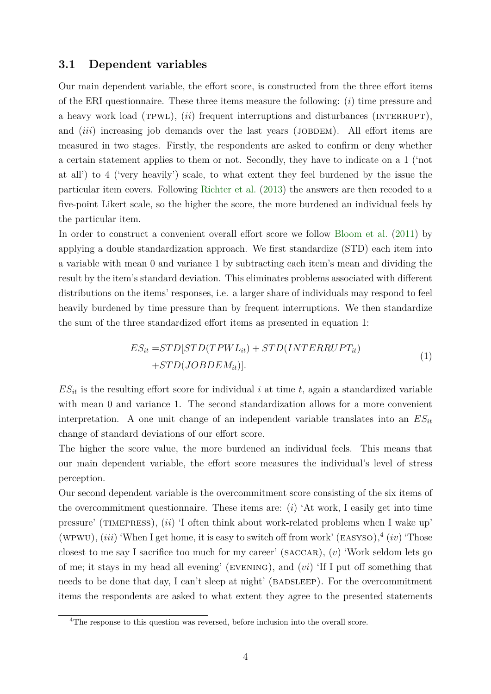### <span id="page-4-2"></span>**3.1 Dependent variables**

Our main dependent variable, the effort score, is constructed from the three effort items of the ERI questionnaire. These three items measure the following: (*i*) time pressure and a heavy work load (TPWL), *(ii)* frequent interruptions and disturbances (INTERRUPT), and *(iii)* increasing job demands over the last years *(JOBDEM)*. All effort items are measured in two stages. Firstly, the respondents are asked to confirm or deny whether a certain statement applies to them or not. Secondly, they have to indicate on a 1 ('not at all') to 4 ('very heavily') scale, to what extent they feel burdened by the issue the particular item covers. Following [Richter et al.](#page-14-7) [\(2013\)](#page-14-7) the answers are then recoded to a five-point Likert scale, so the higher the score, the more burdened an individual feels by the particular item.

In order to construct a convenient overall effort score we follow [Bloom et al.](#page-13-9) [\(2011\)](#page-13-9) by applying a double standardization approach. We first standardize (STD) each item into a variable with mean 0 and variance 1 by subtracting each item's mean and dividing the result by the item's standard deviation. This eliminates problems associated with different distributions on the items' responses, i.e. a larger share of individuals may respond to feel heavily burdened by time pressure than by frequent interruptions. We then standardize the sum of the three standardized effort items as presented in equation [1:](#page-4-0)

$$
ES_{it} = STD[STD(TPWL_{it}) + STD(INTERRUPT_{it})
$$
  
+
$$
STD(JOBDEM_{it})].
$$
 (1)

<span id="page-4-0"></span> $ES_{it}$  is the resulting effort score for individual *i* at time *t*, again a standardized variable with mean 0 and variance 1. The second standardization allows for a more convenient interpretation. A one unit change of an independent variable translates into an  $ES_{it}$ change of standard deviations of our effort score.

The higher the score value, the more burdened an individual feels. This means that our main dependent variable, the effort score measures the individual's level of stress perception.

Our second dependent variable is the overcommitment score consisting of the six items of the overcommitment questionnaire. These items are: (*i*) 'At work, I easily get into time pressure' (TIMEPRESS), *(ii)* 'I often think about work-related problems when I wake up' (wPWU),  $(iii)$  'When I get home, it is easy to switch off from work' (EASYSO),<sup>[4](#page-4-1)</sup> (*iv*) 'Those closest to me say I sacrifice too much for my career' (saccar), (*v*) 'Work seldom lets go of me; it stays in my head all evening' (evening), and (*vi*) 'If I put off something that needs to be done that day, I can't sleep at night' (BADSLEEP). For the overcommitment items the respondents are asked to what extent they agree to the presented statements

<span id="page-4-1"></span><sup>&</sup>lt;sup>4</sup>The response to this question was reversed, before inclusion into the overall score.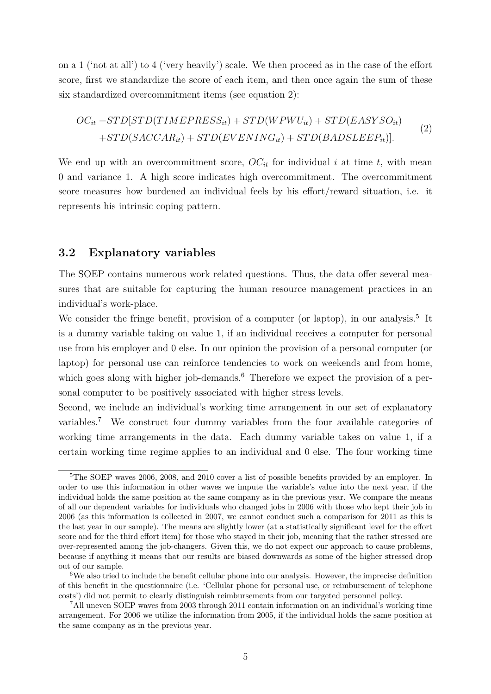on a 1 ('not at all') to 4 ('very heavily') scale. We then proceed as in the case of the effort score, first we standardize the score of each item, and then once again the sum of these six standardized overcommitment items (see equation [2\)](#page-5-0):

<span id="page-5-0"></span>
$$
OC_{it} = STD[STD(TIMEPRESS_{it}) + STD(WPWU_{it}) + STD(EASYSO_{it})
$$
  
+
$$
STD(SACCAR_{it}) + STD(EVENING_{it}) + STD(BADSLEEP_{it})].
$$
\n(2)

We end up with an overcommitment score,  $OC_{it}$  for individual *i* at time *t*, with mean 0 and variance 1. A high score indicates high overcommitment. The overcommitment score measures how burdened an individual feels by his effort/reward situation, i.e. it represents his intrinsic coping pattern.

### <span id="page-5-4"></span>**3.2 Explanatory variables**

The SOEP contains numerous work related questions. Thus, the data offer several measures that are suitable for capturing the human resource management practices in an individual's work-place.

We consider the fringe benefit, provision of a computer (or laptop), in our analysis.<sup>[5](#page-5-1)</sup> It is a dummy variable taking on value 1, if an individual receives a computer for personal use from his employer and 0 else. In our opinion the provision of a personal computer (or laptop) for personal use can reinforce tendencies to work on weekends and from home, which goes along with higher job-demands.<sup>[6](#page-5-2)</sup> Therefore we expect the provision of a personal computer to be positively associated with higher stress levels.

Second, we include an individual's working time arrangement in our set of explanatory variables.[7](#page-5-3) We construct four dummy variables from the four available categories of working time arrangements in the data. Each dummy variable takes on value 1, if a certain working time regime applies to an individual and 0 else. The four working time

<span id="page-5-1"></span><sup>&</sup>lt;sup>5</sup>The SOEP waves 2006, 2008, and 2010 cover a list of possible benefits provided by an employer. In order to use this information in other waves we impute the variable's value into the next year, if the individual holds the same position at the same company as in the previous year. We compare the means of all our dependent variables for individuals who changed jobs in 2006 with those who kept their job in 2006 (as this information is collected in 2007, we cannot conduct such a comparison for 2011 as this is the last year in our sample). The means are slightly lower (at a statistically significant level for the effort score and for the third effort item) for those who stayed in their job, meaning that the rather stressed are over-represented among the job-changers. Given this, we do not expect our approach to cause problems, because if anything it means that our results are biased downwards as some of the higher stressed drop out of our sample.

<span id="page-5-2"></span> $6$ We also tried to include the benefit cellular phone into our analysis. However, the imprecise definition of this benefit in the questionnaire (i.e. 'Cellular phone for personal use, or reimbursement of telephone costs') did not permit to clearly distinguish reimbursements from our targeted personnel policy.

<span id="page-5-3"></span><sup>7</sup>All uneven SOEP waves from 2003 through 2011 contain information on an individual's working time arrangement. For 2006 we utilize the information from 2005, if the individual holds the same position at the same company as in the previous year.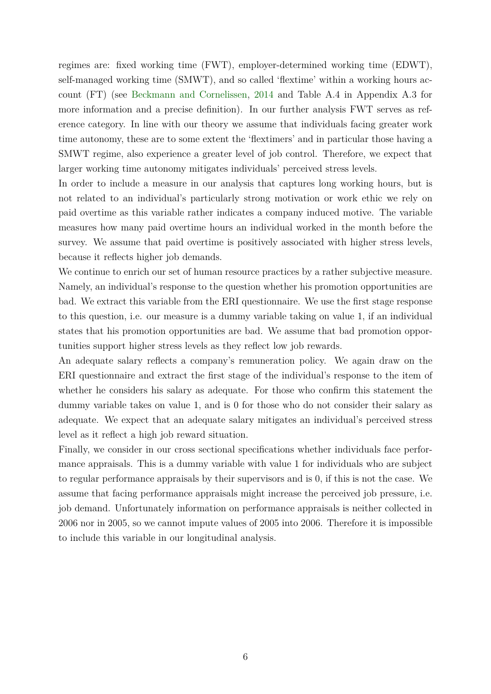regimes are: fixed working time (FWT), employer-determined working time (EDWT), self-managed working time (SMWT), and so called 'flextime' within a working hours account (FT) (see [Beckmann and Cornelissen,](#page-13-10) [2014](#page-13-10) and Table [A.4](#page-23-0) in Appendix [A.3](#page-23-1) for more information and a precise definition). In our further analysis FWT serves as reference category. In line with our theory we assume that individuals facing greater work time autonomy, these are to some extent the 'flextimers' and in particular those having a SMWT regime, also experience a greater level of job control. Therefore, we expect that larger working time autonomy mitigates individuals' perceived stress levels.

In order to include a measure in our analysis that captures long working hours, but is not related to an individual's particularly strong motivation or work ethic we rely on paid overtime as this variable rather indicates a company induced motive. The variable measures how many paid overtime hours an individual worked in the month before the survey. We assume that paid overtime is positively associated with higher stress levels, because it reflects higher job demands.

We continue to enrich our set of human resource practices by a rather subjective measure. Namely, an individual's response to the question whether his promotion opportunities are bad. We extract this variable from the ERI questionnaire. We use the first stage response to this question, i.e. our measure is a dummy variable taking on value 1, if an individual states that his promotion opportunities are bad. We assume that bad promotion opportunities support higher stress levels as they reflect low job rewards.

An adequate salary reflects a company's remuneration policy. We again draw on the ERI questionnaire and extract the first stage of the individual's response to the item of whether he considers his salary as adequate. For those who confirm this statement the dummy variable takes on value 1, and is 0 for those who do not consider their salary as adequate. We expect that an adequate salary mitigates an individual's perceived stress level as it reflect a high job reward situation.

Finally, we consider in our cross sectional specifications whether individuals face performance appraisals. This is a dummy variable with value 1 for individuals who are subject to regular performance appraisals by their supervisors and is 0, if this is not the case. We assume that facing performance appraisals might increase the perceived job pressure, i.e. job demand. Unfortunately information on performance appraisals is neither collected in 2006 nor in 2005, so we cannot impute values of 2005 into 2006. Therefore it is impossible to include this variable in our longitudinal analysis.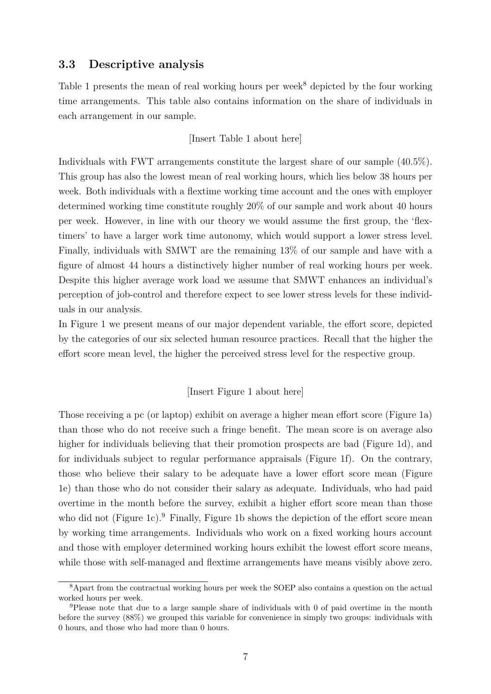### <span id="page-7-2"></span>**3.3 Descriptive analysis**

Table [1](#page-17-0) presents the mean of real working hours per week<sup>[8](#page-7-0)</sup> depicted by the four working time arrangements. This table also contains information on the share of individuals in each arrangement in our sample.

[Insert Table [1](#page-17-0) about here]

Individuals with FWT arrangements constitute the largest share of our sample (40.5%). This group has also the lowest mean of real working hours, which lies below 38 hours per week. Both individuals with a flextime working time account and the ones with employer determined working time constitute roughly 20% of our sample and work about 40 hours per week. However, in line with our theory we would assume the first group, the 'flextimers' to have a larger work time autonomy, which would support a lower stress level. Finally, individuals with SMWT are the remaining 13% of our sample and have with a figure of almost 44 hours a distinctively higher number of real working hours per week. Despite this higher average work load we assume that SMWT enhances an individual's perception of job-control and therefore expect to see lower stress levels for these individuals in our analysis.

In Figure [1](#page-16-0) we present means of our major dependent variable, the effort score, depicted by the categories of our six selected human resource practices. Recall that the higher the effort score mean level, the higher the perceived stress level for the respective group.

### [Insert Figure [1](#page-16-0) about here]

Those receiving a pc (or laptop) exhibit on average a higher mean effort score (Figure [1a\)](#page-16-0) than those who do not receive such a fringe benefit. The mean score is on average also higher for individuals believing that their promotion prospects are bad (Figure [1d\)](#page-16-0), and for individuals subject to regular performance appraisals (Figure [1f\)](#page-16-0). On the contrary, those who believe their salary to be adequate have a lower effort score mean (Figure [1e\)](#page-16-0) than those who do not consider their salary as adequate. Individuals, who had paid overtime in the month before the survey, exhibit a higher effort score mean than those who did not (Figure [1c\)](#page-16-0).<sup>[9](#page-7-1)</sup> Finally, Figure [1b](#page-16-0) shows the depiction of the effort score mean by working time arrangements. Individuals who work on a fixed working hours account and those with employer determined working hours exhibit the lowest effort score means, while those with self-managed and flextime arrangements have means visibly above zero.

<span id="page-7-0"></span><sup>8</sup>Apart from the contractual working hours per week the SOEP also contains a question on the actual worked hours per week.

<span id="page-7-1"></span><sup>9</sup>Please note that due to a large sample share of individuals with 0 of paid overtime in the month before the survey (88%) we grouped this variable for convenience in simply two groups: individuals with 0 hours, and those who had more than 0 hours.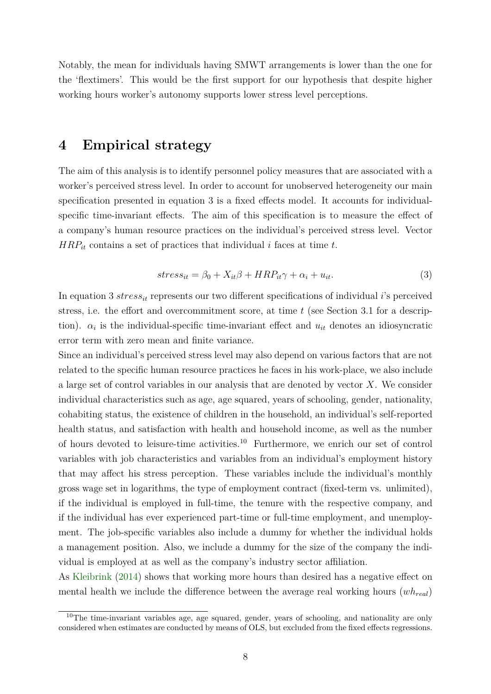Notably, the mean for individuals having SMWT arrangements is lower than the one for the 'flextimers'. This would be the first support for our hypothesis that despite higher working hours worker's autonomy supports lower stress level perceptions.

## <span id="page-8-0"></span>**4 Empirical strategy**

The aim of this analysis is to identify personnel policy measures that are associated with a worker's perceived stress level. In order to account for unobserved heterogeneity our main specification presented in equation [3](#page-8-1) is a fixed effects model. It accounts for individualspecific time-invariant effects. The aim of this specification is to measure the effect of a company's human resource practices on the individual's perceived stress level. Vector *HRPit* contains a set of practices that individual *i* faces at time *t*.

<span id="page-8-1"></span>
$$
stress_{it} = \beta_0 + X_{it}\beta + HRP_{it}\gamma + \alpha_i + u_{it}.
$$
\n(3)

In equation [3](#page-8-1) *stressit* represents our two different specifications of individual *i*'s perceived stress, i.e. the effort and overcommitment score, at time *t* (see Section [3.1](#page-4-2) for a description).  $\alpha_i$  is the individual-specific time-invariant effect and  $u_{it}$  denotes an idiosyncratic error term with zero mean and finite variance.

Since an individual's perceived stress level may also depend on various factors that are not related to the specific human resource practices he faces in his work-place, we also include a large set of control variables in our analysis that are denoted by vector *X*. We consider individual characteristics such as age, age squared, years of schooling, gender, nationality, cohabiting status, the existence of children in the household, an individual's self-reported health status, and satisfaction with health and household income, as well as the number of hours devoted to leisure-time activities.[10](#page-8-2) Furthermore, we enrich our set of control variables with job characteristics and variables from an individual's employment history that may affect his stress perception. These variables include the individual's monthly gross wage set in logarithms, the type of employment contract (fixed-term vs. unlimited), if the individual is employed in full-time, the tenure with the respective company, and if the individual has ever experienced part-time or full-time employment, and unemployment. The job-specific variables also include a dummy for whether the individual holds a management position. Also, we include a dummy for the size of the company the individual is employed at as well as the company's industry sector affiliation.

As [Kleibrink](#page-13-4) [\(2014\)](#page-13-4) shows that working more hours than desired has a negative effect on mental health we include the difference between the average real working hours (*whreal*)

<span id="page-8-2"></span><sup>&</sup>lt;sup>10</sup>The time-invariant variables age, age squared, gender, years of schooling, and nationality are only considered when estimates are conducted by means of OLS, but excluded from the fixed effects regressions.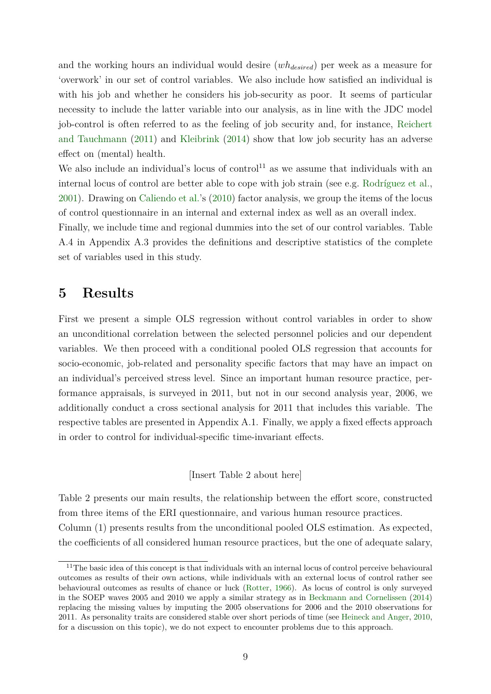and the working hours an individual would desire (*whdesired*) per week as a measure for 'overwork' in our set of control variables. We also include how satisfied an individual is with his job and whether he considers his job-security as poor. It seems of particular necessity to include the latter variable into our analysis, as in line with the JDC model job-control is often referred to as the feeling of job security and, for instance, [Reichert](#page-14-8) [and Tauchmann](#page-14-8) [\(2011\)](#page-14-8) and [Kleibrink](#page-13-4) [\(2014\)](#page-13-4) show that low job security has an adverse effect on (mental) health.

We also include an individual's locus of control<sup>[11](#page-9-1)</sup> as we assume that individuals with an internal locus of control are better able to cope with job strain (see e.g. [Rodríguez et al.,](#page-14-9) [2001\)](#page-14-9). Drawing on [Caliendo et al.'](#page-13-11)s [\(2010\)](#page-13-11) factor analysis, we group the items of the locus of control questionnaire in an internal and external index as well as an overall index.

Finally, we include time and regional dummies into the set of our control variables. Table [A.4](#page-23-0) in Appendix [A.3](#page-23-1) provides the definitions and descriptive statistics of the complete set of variables used in this study.

## <span id="page-9-0"></span>**5 Results**

First we present a simple OLS regression without control variables in order to show an unconditional correlation between the selected personnel policies and our dependent variables. We then proceed with a conditional pooled OLS regression that accounts for socio-economic, job-related and personality specific factors that may have an impact on an individual's perceived stress level. Since an important human resource practice, performance appraisals, is surveyed in 2011, but not in our second analysis year, 2006, we additionally conduct a cross sectional analysis for 2011 that includes this variable. The respective tables are presented in Appendix [A.1.](#page-18-0) Finally, we apply a fixed effects approach in order to control for individual-specific time-invariant effects.

[Insert Table [2](#page-17-1) about here]

Table [2](#page-17-1) presents our main results, the relationship between the effort score, constructed from three items of the ERI questionnaire, and various human resource practices. Column (1) presents results from the unconditional pooled OLS estimation. As expected, the coefficients of all considered human resource practices, but the one of adequate salary,

<span id="page-9-1"></span><sup>&</sup>lt;sup>11</sup>The basic idea of this concept is that individuals with an internal locus of control perceive behavioural outcomes as results of their own actions, while individuals with an external locus of control rather see behavioural outcomes as results of chance or luck [\(Rotter,](#page-14-10) [1966\)](#page-14-10). As locus of control is only surveyed in the SOEP waves 2005 and 2010 we apply a similar strategy as in [Beckmann and Cornelissen](#page-13-10) [\(2014\)](#page-13-10) replacing the missing values by imputing the 2005 observations for 2006 and the 2010 observations for 2011. As personality traits are considered stable over short periods of time (see [Heineck and Anger,](#page-13-12) [2010,](#page-13-12) for a discussion on this topic), we do not expect to encounter problems due to this approach.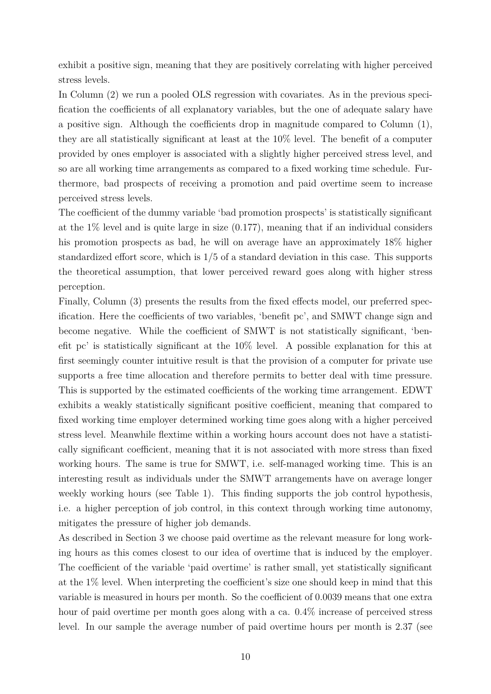exhibit a positive sign, meaning that they are positively correlating with higher perceived stress levels.

In Column (2) we run a pooled OLS regression with covariates. As in the previous specification the coefficients of all explanatory variables, but the one of adequate salary have a positive sign. Although the coefficients drop in magnitude compared to Column (1), they are all statistically significant at least at the 10% level. The benefit of a computer provided by ones employer is associated with a slightly higher perceived stress level, and so are all working time arrangements as compared to a fixed working time schedule. Furthermore, bad prospects of receiving a promotion and paid overtime seem to increase perceived stress levels.

The coefficient of the dummy variable 'bad promotion prospects' is statistically significant at the  $1\%$  level and is quite large in size  $(0.177)$ , meaning that if an individual considers his promotion prospects as bad, he will on average have an approximately 18% higher standardized effort score, which is 1*/*5 of a standard deviation in this case. This supports the theoretical assumption, that lower perceived reward goes along with higher stress perception.

Finally, Column (3) presents the results from the fixed effects model, our preferred specification. Here the coefficients of two variables, 'benefit pc', and SMWT change sign and become negative. While the coefficient of SMWT is not statistically significant, 'benefit pc' is statistically significant at the 10% level. A possible explanation for this at first seemingly counter intuitive result is that the provision of a computer for private use supports a free time allocation and therefore permits to better deal with time pressure. This is supported by the estimated coefficients of the working time arrangement. EDWT exhibits a weakly statistically significant positive coefficient, meaning that compared to fixed working time employer determined working time goes along with a higher perceived stress level. Meanwhile flextime within a working hours account does not have a statistically significant coefficient, meaning that it is not associated with more stress than fixed working hours. The same is true for SMWT, i.e. self-managed working time. This is an interesting result as individuals under the SMWT arrangements have on average longer weekly working hours (see Table [1\)](#page-17-0). This finding supports the job control hypothesis, i.e. a higher perception of job control, in this context through working time autonomy, mitigates the pressure of higher job demands.

As described in Section [3](#page-3-0) we choose paid overtime as the relevant measure for long working hours as this comes closest to our idea of overtime that is induced by the employer. The coefficient of the variable 'paid overtime' is rather small, yet statistically significant at the 1% level. When interpreting the coefficient's size one should keep in mind that this variable is measured in hours per month. So the coefficient of 0.0039 means that one extra hour of paid overtime per month goes along with a ca.  $0.4\%$  increase of perceived stress level. In our sample the average number of paid overtime hours per month is 2.37 (see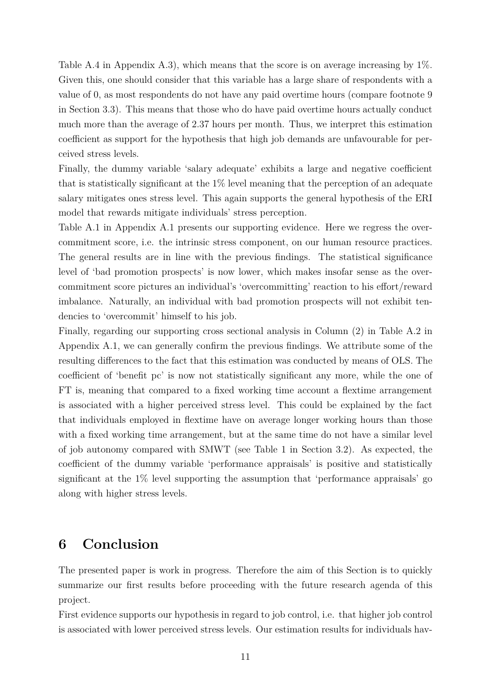Table [A.4](#page-23-0) in Appendix [A.3\)](#page-23-1), which means that the score is on average increasing by 1%. Given this, one should consider that this variable has a large share of respondents with a value of 0, as most respondents do not have any paid overtime hours (compare footnote [9](#page-7-1) in Section [3.3\)](#page-7-2). This means that those who do have paid overtime hours actually conduct much more than the average of 2.37 hours per month. Thus, we interpret this estimation coefficient as support for the hypothesis that high job demands are unfavourable for perceived stress levels.

Finally, the dummy variable 'salary adequate' exhibits a large and negative coefficient that is statistically significant at the 1% level meaning that the perception of an adequate salary mitigates ones stress level. This again supports the general hypothesis of the ERI model that rewards mitigate individuals' stress perception.

Table [A.1](#page-18-1) in Appendix [A.1](#page-18-0) presents our supporting evidence. Here we regress the overcommitment score, i.e. the intrinsic stress component, on our human resource practices. The general results are in line with the previous findings. The statistical significance level of 'bad promotion prospects' is now lower, which makes insofar sense as the overcommitment score pictures an individual's 'overcommitting' reaction to his effort/reward imbalance. Naturally, an individual with bad promotion prospects will not exhibit tendencies to 'overcommit' himself to his job.

Finally, regarding our supporting cross sectional analysis in Column (2) in Table [A.2](#page-19-0) in Appendix [A.1,](#page-18-0) we can generally confirm the previous findings. We attribute some of the resulting differences to the fact that this estimation was conducted by means of OLS. The coefficient of 'benefit pc' is now not statistically significant any more, while the one of FT is, meaning that compared to a fixed working time account a flextime arrangement is associated with a higher perceived stress level. This could be explained by the fact that individuals employed in flextime have on average longer working hours than those with a fixed working time arrangement, but at the same time do not have a similar level of job autonomy compared with SMWT (see Table [1](#page-17-0) in Section [3.2\)](#page-5-4). As expected, the coefficient of the dummy variable 'performance appraisals' is positive and statistically significant at the 1% level supporting the assumption that 'performance appraisals' go along with higher stress levels.

## <span id="page-11-0"></span>**6 Conclusion**

The presented paper is work in progress. Therefore the aim of this Section is to quickly summarize our first results before proceeding with the future research agenda of this project.

First evidence supports our hypothesis in regard to job control, i.e. that higher job control is associated with lower perceived stress levels. Our estimation results for individuals hav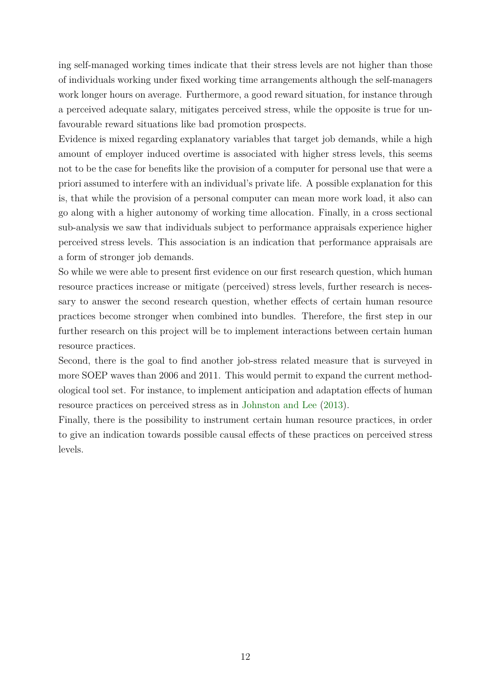ing self-managed working times indicate that their stress levels are not higher than those of individuals working under fixed working time arrangements although the self-managers work longer hours on average. Furthermore, a good reward situation, for instance through a perceived adequate salary, mitigates perceived stress, while the opposite is true for unfavourable reward situations like bad promotion prospects.

Evidence is mixed regarding explanatory variables that target job demands, while a high amount of employer induced overtime is associated with higher stress levels, this seems not to be the case for benefits like the provision of a computer for personal use that were a priori assumed to interfere with an individual's private life. A possible explanation for this is, that while the provision of a personal computer can mean more work load, it also can go along with a higher autonomy of working time allocation. Finally, in a cross sectional sub-analysis we saw that individuals subject to performance appraisals experience higher perceived stress levels. This association is an indication that performance appraisals are a form of stronger job demands.

So while we were able to present first evidence on our first research question, which human resource practices increase or mitigate (perceived) stress levels, further research is necessary to answer the second research question, whether effects of certain human resource practices become stronger when combined into bundles. Therefore, the first step in our further research on this project will be to implement interactions between certain human resource practices.

Second, there is the goal to find another job-stress related measure that is surveyed in more SOEP waves than 2006 and 2011. This would permit to expand the current methodological tool set. For instance, to implement anticipation and adaptation effects of human resource practices on perceived stress as in [Johnston and Lee](#page-13-6) [\(2013\)](#page-13-6).

Finally, there is the possibility to instrument certain human resource practices, in order to give an indication towards possible causal effects of these practices on perceived stress levels.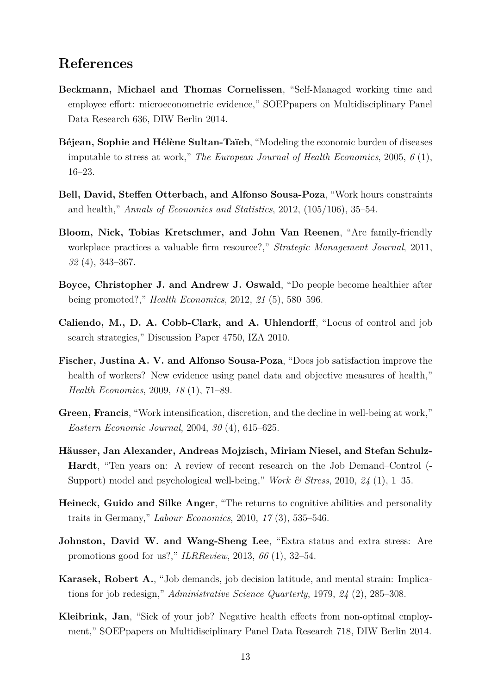## **References**

- <span id="page-13-10"></span>**Beckmann, Michael and Thomas Cornelissen**, "Self-Managed working time and employee effort: microeconometric evidence," SOEPpapers on Multidisciplinary Panel Data Research 636, DIW Berlin 2014.
- <span id="page-13-1"></span>**Béjean, Sophie and Hélène Sultan-Taïeb**, "Modeling the economic burden of diseases imputable to stress at work," *The European Journal of Health Economics*, 2005, *6* (1), 16–23.
- <span id="page-13-5"></span>**Bell, David, Steffen Otterbach, and Alfonso Sousa-Poza**, "Work hours constraints and health," *Annals of Economics and Statistics*, 2012, (105/106), 35–54.
- <span id="page-13-9"></span>**Bloom, Nick, Tobias Kretschmer, and John Van Reenen**, "Are family-friendly workplace practices a valuable firm resource?," *Strategic Management Journal*, 2011, *32* (4), 343–367.
- <span id="page-13-7"></span>**Boyce, Christopher J. and Andrew J. Oswald**, "Do people become healthier after being promoted?," *Health Economics*, 2012, *21* (5), 580–596.
- <span id="page-13-11"></span>**Caliendo, M., D. A. Cobb-Clark, and A. Uhlendorff**, "Locus of control and job search strategies," Discussion Paper 4750, IZA 2010.
- <span id="page-13-3"></span>**Fischer, Justina A. V. and Alfonso Sousa-Poza**, "Does job satisfaction improve the health of workers? New evidence using panel data and objective measures of health," *Health Economics*, 2009, *18* (1), 71–89.
- <span id="page-13-0"></span>**Green, Francis**, "Work intensification, discretion, and the decline in well-being at work," *Eastern Economic Journal*, 2004, *30* (4), 615–625.
- <span id="page-13-8"></span>**Häusser, Jan Alexander, Andreas Mojzisch, Miriam Niesel, and Stefan Schulz-Hardt**, "Ten years on: A review of recent research on the Job Demand–Control (- Support) model and psychological well-being," *Work & Stress*, 2010, *24* (1), 1–35.
- <span id="page-13-12"></span>**Heineck, Guido and Silke Anger**, "The returns to cognitive abilities and personality traits in Germany," *Labour Economics*, 2010, *17* (3), 535–546.
- <span id="page-13-6"></span>**Johnston, David W. and Wang-Sheng Lee**, "Extra status and extra stress: Are promotions good for us?," *ILRReview*, 2013, *66* (1), 32–54.
- <span id="page-13-2"></span>**Karasek, Robert A.**, "Job demands, job decision latitude, and mental strain: Implications for job redesign," *Administrative Science Quarterly*, 1979, *24* (2), 285–308.
- <span id="page-13-4"></span>**Kleibrink, Jan**, "Sick of your job?–Negative health effects from non-optimal employment," SOEPpapers on Multidisciplinary Panel Data Research 718, DIW Berlin 2014.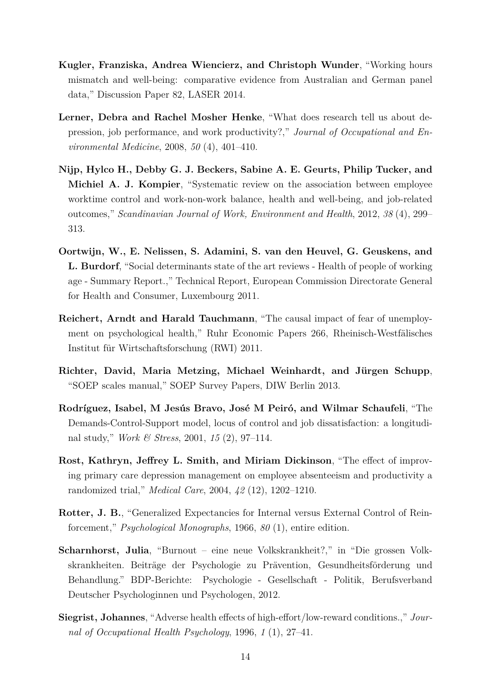- <span id="page-14-5"></span>**Kugler, Franziska, Andrea Wiencierz, and Christoph Wunder**, "Working hours mismatch and well-being: comparative evidence from Australian and German panel data," Discussion Paper 82, LASER 2014.
- <span id="page-14-2"></span>**Lerner, Debra and Rachel Mosher Henke**, "What does research tell us about depression, job performance, and work productivity?," *Journal of Occupational and Environmental Medicine*, 2008, *50* (4), 401–410.
- <span id="page-14-6"></span>**Nijp, Hylco H., Debby G. J. Beckers, Sabine A. E. Geurts, Philip Tucker, and Michiel A. J. Kompier**, "Systematic review on the association between employee worktime control and work-non-work balance, health and well-being, and job-related outcomes," *Scandinavian Journal of Work, Environment and Health*, 2012, *38* (4), 299– 313.
- <span id="page-14-0"></span>**Oortwijn, W., E. Nelissen, S. Adamini, S. van den Heuvel, G. Geuskens, and L. Burdorf**, "Social determinants state of the art reviews - Health of people of working age - Summary Report.," Technical Report, European Commission Directorate General for Health and Consumer, Luxembourg 2011.
- <span id="page-14-8"></span>**Reichert, Arndt and Harald Tauchmann**, "The causal impact of fear of unemployment on psychological health," Ruhr Economic Papers 266, Rheinisch-Westfälisches Institut für Wirtschaftsforschung (RWI) 2011.
- <span id="page-14-7"></span>**Richter, David, Maria Metzing, Michael Weinhardt, and Jürgen Schupp**, "SOEP scales manual," SOEP Survey Papers, DIW Berlin 2013.
- <span id="page-14-9"></span>**Rodríguez, Isabel, M Jesús Bravo, José M Peiró, and Wilmar Schaufeli**, "The Demands-Control-Support model, locus of control and job dissatisfaction: a longitudinal study," *Work & Stress*, 2001, *15* (2), 97–114.
- <span id="page-14-3"></span>**Rost, Kathryn, Jeffrey L. Smith, and Miriam Dickinson**, "The effect of improving primary care depression management on employee absenteeism and productivity a randomized trial," *Medical Care*, 2004, *42* (12), 1202–1210.
- <span id="page-14-10"></span>**Rotter, J. B.**, "Generalized Expectancies for Internal versus External Control of Reinforcement," *Psychological Monographs*, 1966, *80* (1), entire edition.
- <span id="page-14-1"></span>**Scharnhorst, Julia**, "Burnout – eine neue Volkskrankheit?," in "Die grossen Volkskrankheiten. Beiträge der Psychologie zu Prävention, Gesundheitsförderung und Behandlung." BDP-Berichte: Psychologie - Gesellschaft - Politik, Berufsverband Deutscher Psychologinnen und Psychologen, 2012.
- <span id="page-14-4"></span>**Siegrist, Johannes**, "Adverse health effects of high-effort/low-reward conditions.," *Journal of Occupational Health Psychology*, 1996, *1* (1), 27–41.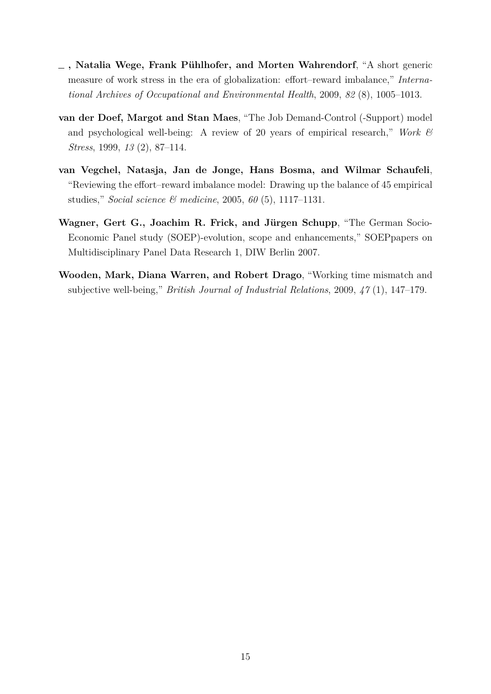- <span id="page-15-3"></span>**, Natalia Wege, Frank Pühlhofer, and Morten Wahrendorf**, "A short generic measure of work stress in the era of globalization: effort–reward imbalance," *International Archives of Occupational and Environmental Health*, 2009, *82* (8), 1005–1013.
- <span id="page-15-1"></span>**van der Doef, Margot and Stan Maes**, "The Job Demand-Control (-Support) model and psychological well-being: A review of 20 years of empirical research," *Work & Stress*, 1999, *13* (2), 87–114.
- <span id="page-15-2"></span>**van Vegchel, Natasja, Jan de Jonge, Hans Bosma, and Wilmar Schaufeli**, "Reviewing the effort–reward imbalance model: Drawing up the balance of 45 empirical studies," *Social science & medicine*, 2005, *60* (5), 1117–1131.
- <span id="page-15-4"></span>**Wagner, Gert G., Joachim R. Frick, and Jürgen Schupp**, "The German Socio-Economic Panel study (SOEP)-evolution, scope and enhancements," SOEPpapers on Multidisciplinary Panel Data Research 1, DIW Berlin 2007.
- <span id="page-15-0"></span>**Wooden, Mark, Diana Warren, and Robert Drago**, "Working time mismatch and subjective well-being," *British Journal of Industrial Relations*, 2009, *47* (1), 147–179.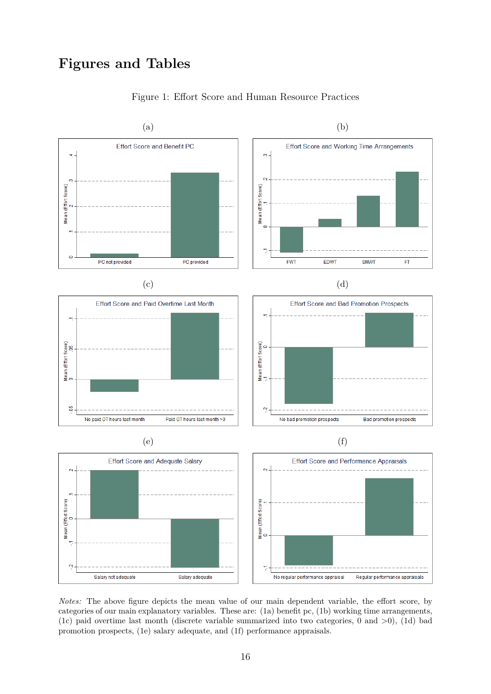## **Figures and Tables**

<span id="page-16-0"></span>

### Figure 1: Effort Score and Human Resource Practices

*Notes:* The above figure depicts the mean value of our main dependent variable, the effort score, by categories of our main explanatory variables. These are: [\(1a\)](#page-16-0) benefit pc, [\(1b\)](#page-16-0) working time arrangements, [\(1c\)](#page-16-0) paid overtime last month (discrete variable summarized into two categories, 0 and  $>0$ ), [\(1d\)](#page-16-0) bad promotion prospects, [\(1e\)](#page-16-0) salary adequate, and [\(1f\)](#page-16-0) performance appraisals.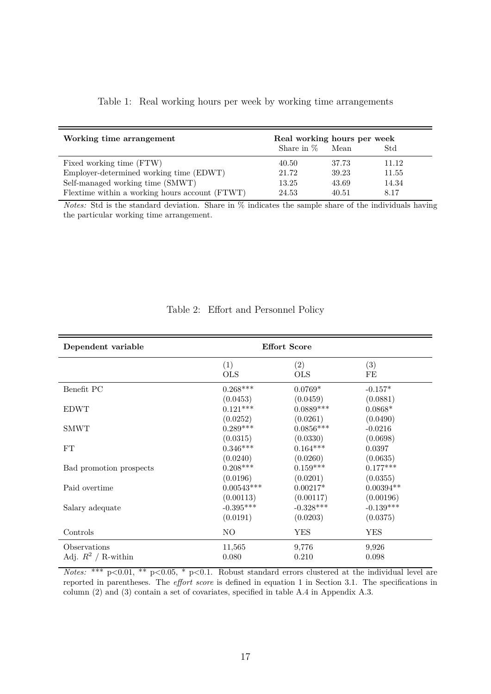|  |  |  |  |  |  |  |  |  | Table 1: Real working hours per week by working time arrangements |  |
|--|--|--|--|--|--|--|--|--|-------------------------------------------------------------------|--|
|--|--|--|--|--|--|--|--|--|-------------------------------------------------------------------|--|

<span id="page-17-0"></span>

| Working time arrangement                       | Real working hours per week |       |       |  |
|------------------------------------------------|-----------------------------|-------|-------|--|
|                                                | Share in $%$                | Mean  | Std   |  |
| Fixed working time (FTW)                       | 40.50                       | 37.73 | 11.12 |  |
| Employer-determined working time (EDWT)        | 21.72                       | 39.23 | 11.55 |  |
| Self-managed working time (SMWT)               | 13.25                       | 43.69 | 14.34 |  |
| Flextime within a working hours account (FTWT) | 24.53                       | 40.51 | 8.17  |  |

*Notes:* Std is the standard deviation. Share in  $\%$  indicates the sample share of the individuals having the particular working time arrangement.

<span id="page-17-1"></span>

| Dependent variable      | <b>Effort Score</b> |                 |             |  |
|-------------------------|---------------------|-----------------|-------------|--|
|                         | (1)                 | (2)             | (3)         |  |
|                         | <b>OLS</b>          | <b>OLS</b>      | FE          |  |
| Benefit PC              | $0.268***$          | $0.0769*$       | $-0.157*$   |  |
|                         | (0.0453)            | (0.0459)        | (0.0881)    |  |
| <b>EDWT</b>             | $0.121***$          | $0.0889***$     | $0.0868*$   |  |
| <b>SMWT</b>             | (0.0252)            | (0.0261)        | (0.0490)    |  |
|                         | $0.289***$          | $0.0856***$     | $-0.0216$   |  |
| FT                      | (0.0315)            | (0.0330)        | (0.0698)    |  |
|                         | $0.346***$          | $0.164^{***}\,$ | 0.0397      |  |
| Bad promotion prospects | (0.0240)            | (0.0260)        | (0.0635)    |  |
|                         | $0.208***$          | $0.159***$      | $0.177***$  |  |
| Paid overtime           | (0.0196)            | (0.0201)        | (0.0355)    |  |
|                         | $0.00543***$        | $0.00217*$      | $0.00394**$ |  |
| Salary adequate         | (0.00113)           | (0.00117)       | (0.00196)   |  |
|                         | $-0.395***$         | $-0.328***$     | $-0.139***$ |  |
|                         | (0.0191)            | (0.0203)        | (0.0375)    |  |
| Controls                | NO                  | <b>YES</b>      | YES         |  |
| Observations            | 11,565              | 9,776           | 9,926       |  |
| Adj. $R^2$ / R-within   | 0.080               | 0.210           | 0.098       |  |

### Table 2: Effort and Personnel Policy

*Notes:* \*\*\* p<0.01, \*\* p<0.05, \* p<0.1. Robust standard errors clustered at the individual level are reported in parentheses. The *effort score* is defined in equation [1](#page-4-0) in Section [3.1.](#page-4-2) The specifications in column (2) and (3) contain a set of covariates, specified in table [A.4](#page-23-0) in Appendix [A.3.](#page-23-1)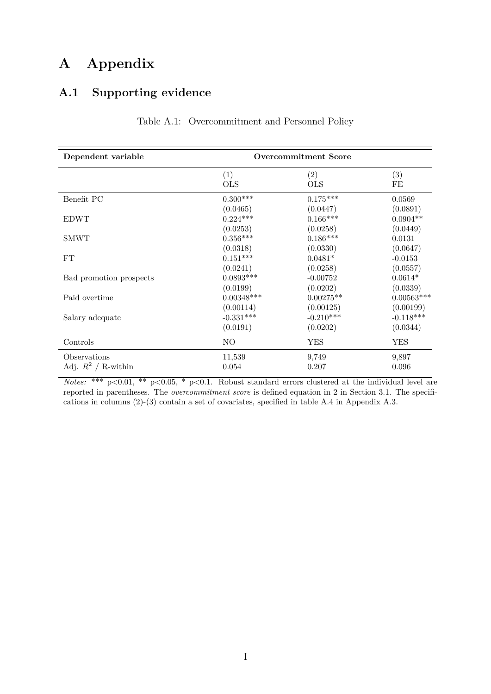# **A Appendix**

## <span id="page-18-1"></span><span id="page-18-0"></span>**A.1 Supporting evidence**

| Dependent variable      | <b>Overcommitment Score</b> |             |              |  |  |
|-------------------------|-----------------------------|-------------|--------------|--|--|
|                         | (1)                         | (2)         | (3)          |  |  |
|                         | <b>OLS</b>                  | <b>OLS</b>  | FE           |  |  |
| Benefit PC              | $0.300***$                  | $0.175***$  | 0.0569       |  |  |
|                         | (0.0465)                    | (0.0447)    | (0.0891)     |  |  |
| <b>EDWT</b>             | $0.224***$                  | $0.166***$  | $0.0904**$   |  |  |
| <b>SMWT</b>             | (0.0253)                    | (0.0258)    | (0.0449)     |  |  |
|                         | $0.356***$                  | $0.186***$  | 0.0131       |  |  |
| FT                      | (0.0318)                    | (0.0330)    | (0.0647)     |  |  |
|                         | $0.151***$                  | $0.0481*$   | $-0.0153$    |  |  |
| Bad promotion prospects | (0.0241)                    | (0.0258)    | (0.0557)     |  |  |
|                         | $0.0893***$                 | $-0.00752$  | $0.0614*$    |  |  |
| Paid overtime           | (0.0199)                    | (0.0202)    | (0.0339)     |  |  |
|                         | $0.00348^{***}\,$           | $0.00275**$ | $0.00563***$ |  |  |
| Salary adequate         | (0.00114)                   | (0.00125)   | (0.00199)    |  |  |
|                         | $-0.331***$                 | $-0.210***$ | $-0.118***$  |  |  |
| Controls                | (0.0191)                    | (0.0202)    | (0.0344)     |  |  |
|                         | NO                          | <b>YES</b>  | <b>YES</b>   |  |  |
| Observations            | 11,539                      | 9,749       | 9,897        |  |  |
| Adj. $R^2$ / R-within   | 0.054                       | 0.207       | 0.096        |  |  |

Table A.1: Overcommitment and Personnel Policy

*Notes:* \*\*\* p<0.01, \*\* p<0.05, \* p<0.1. Robust standard errors clustered at the individual level are reported in parentheses. The *overcommitment score* is defined equation in [2](#page-5-0) in Section [3.1.](#page-4-2) The specifications in columns (2)-(3) contain a set of covariates, specified in table [A.4](#page-23-0) in Appendix [A.3.](#page-23-1)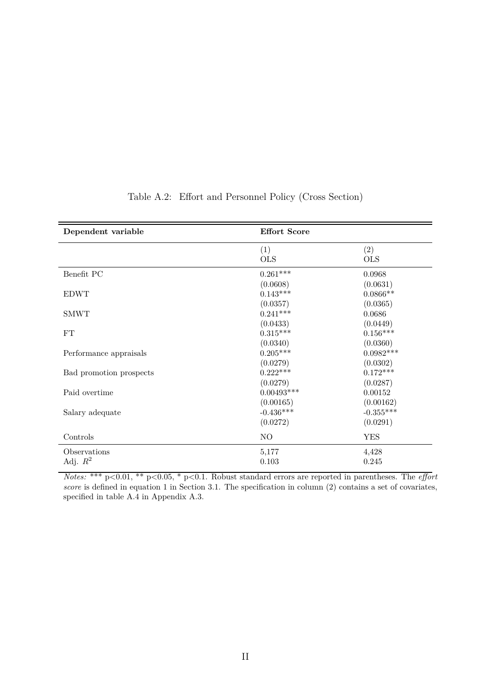<span id="page-19-0"></span>

| Dependent variable      | <b>Effort Score</b> |             |
|-------------------------|---------------------|-------------|
|                         | (1)                 | (2)         |
|                         | <b>OLS</b>          | <b>OLS</b>  |
| Benefit PC              | $0.261***$          | 0.0968      |
|                         | (0.0608)            | (0.0631)    |
| <b>EDWT</b>             | $0.143***$          | $0.0866**$  |
|                         | (0.0357)            | (0.0365)    |
| <b>SMWT</b>             | $0.241***$          | 0.0686      |
|                         | (0.0433)            | (0.0449)    |
| ${\rm FT}$              | $0.315***$          | $0.156***$  |
|                         | (0.0340)            | (0.0360)    |
| Performance appraisals  | $0.205***$          | $0.0982***$ |
|                         | (0.0279)            | (0.0302)    |
| Bad promotion prospects | $0.222***$          | $0.172***$  |
|                         | (0.0279)            | (0.0287)    |
| Paid overtime           | $0.00493***$        | 0.00152     |
|                         | (0.00165)           | (0.00162)   |
| Salary adequate         | $-0.436***$         | $-0.355***$ |
|                         | (0.0272)            | (0.0291)    |
| Controls                | NO                  | <b>YES</b>  |
| Observations            | 5,177               | 4,428       |
| Adj. $R^2$              | 0.103               | 0.245       |

### Table A.2: Effort and Personnel Policy (Cross Section)

*Notes:* \*\*\* p*<*0.01, \*\* p*<*0.05, \* p*<*0.1. Robust standard errors are reported in parentheses. The *effort score* is defined in equation [1](#page-4-0) in Section [3.1.](#page-4-2) The specification in column (2) contains a set of covariates, specified in table [A.4](#page-23-0) in Appendix [A.3.](#page-23-1)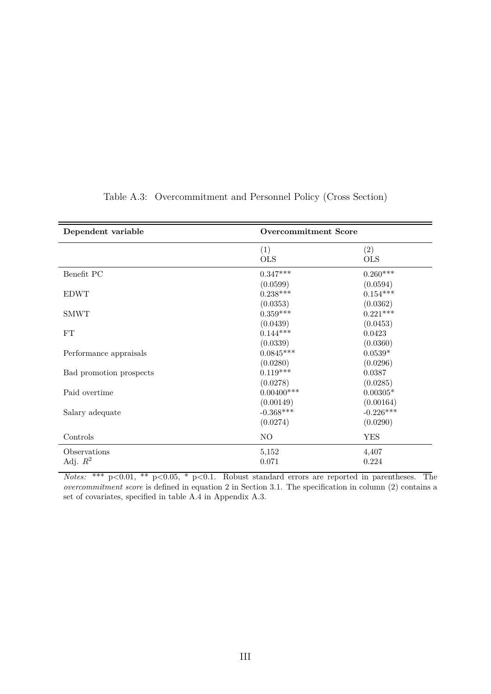| Dependent variable         | <b>Overcommitment Score</b>          |                                      |  |
|----------------------------|--------------------------------------|--------------------------------------|--|
|                            | (1)<br><b>OLS</b>                    | (2)<br><b>OLS</b>                    |  |
| Benefit PC                 | $0.347***$<br>(0.0599)               | $0.260***$<br>(0.0594)               |  |
| <b>EDWT</b>                | $0.238***$<br>(0.0353)               | $0.154***$<br>(0.0362)               |  |
| <b>SMWT</b>                | $0.359***$<br>(0.0439)               | $0.221***$<br>(0.0453)               |  |
| FT                         | $0.144***$<br>(0.0339)               | 0.0423<br>(0.0360)                   |  |
| Performance appraisals     | $0.0845***$<br>(0.0280)              | $0.0539*$<br>(0.0296)                |  |
| Bad promotion prospects    | $0.119***$<br>(0.0278)               | 0.0387<br>(0.0285)                   |  |
| Paid overtime              | $0.00400***$                         | $0.00305*$                           |  |
| Salary adequate            | (0.00149)<br>$-0.368***$<br>(0.0274) | (0.00164)<br>$-0.226***$<br>(0.0290) |  |
| Controls                   | NO                                   | <b>YES</b>                           |  |
| Observations<br>Adj. $R^2$ | 5,152<br>0.071                       | 4,407<br>0.224                       |  |

### Table A.3: Overcommitment and Personnel Policy (Cross Section)

*Notes:* \*\*\* p*<*0.01, \*\* p*<*0.05, \* p*<*0.1. Robust standard errors are reported in parentheses. The *overcommitment score* is defined in equation [2](#page-5-0) in Section [3.1.](#page-4-2) The specification in column (2) contains a set of covariates, specified in table [A.4](#page-23-0) in Appendix [A.3.](#page-23-1)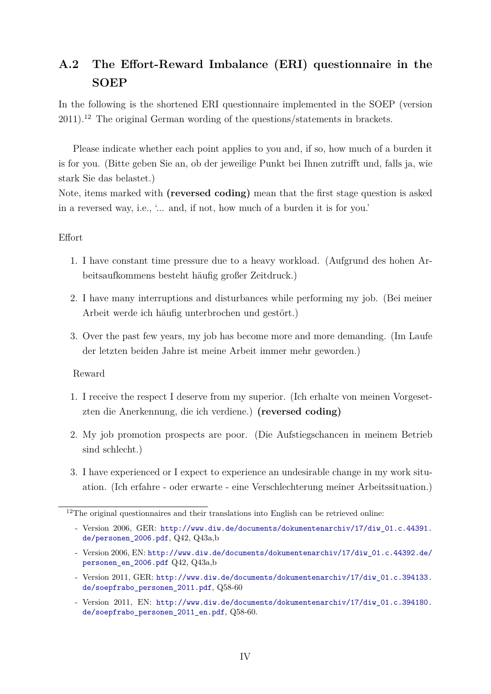## <span id="page-21-0"></span>**A.2 The Effort-Reward Imbalance (ERI) questionnaire in the SOEP**

In the following is the shortened ERI questionnaire implemented in the SOEP (version  $2011$ <sup>[12](#page-21-1)</sup>. The original German wording of the questions/statements in brackets.

Please indicate whether each point applies to you and, if so, how much of a burden it is for you. (Bitte geben Sie an, ob der jeweilige Punkt bei Ihnen zutrifft und, falls ja, wie stark Sie das belastet.)

Note, items marked with **(reversed coding)** mean that the first stage question is asked in a reversed way, i.e., '... and, if not, how much of a burden it is for you.'

### Effort

- 1. I have constant time pressure due to a heavy workload. (Aufgrund des hohen Arbeitsaufkommens besteht häufig großer Zeitdruck.)
- 2. I have many interruptions and disturbances while performing my job. (Bei meiner Arbeit werde ich häufig unterbrochen und gestört.)
- 3. Over the past few years, my job has become more and more demanding. (Im Laufe der letzten beiden Jahre ist meine Arbeit immer mehr geworden.)

#### Reward

- 1. I receive the respect I deserve from my superior. (Ich erhalte von meinen Vorgesetzten die Anerkennung, die ich verdiene.) **(reversed coding)**
- 2. My job promotion prospects are poor. (Die Aufstiegschancen in meinem Betrieb sind schlecht.)
- 3. I have experienced or I expect to experience an undesirable change in my work situation. (Ich erfahre - oder erwarte - eine Verschlechterung meiner Arbeitssituation.)

- Version 2011, GER: [http://www.diw.de/documents/dokumentenarchiv/17/diw\\_01.c.394133.](http://www.diw.de/documents/dokumentenarchiv/17/diw_01.c.394133.de/soepfrabo_personen_2011.pdf) [de/soepfrabo\\_personen\\_2011.pdf](http://www.diw.de/documents/dokumentenarchiv/17/diw_01.c.394133.de/soepfrabo_personen_2011.pdf), Q58-60
- Version 2011, EN: [http://www.diw.de/documents/dokumentenarchiv/17/diw\\_01.c.394180.](http://www.diw.de/documents/dokumentenarchiv/17/diw_01.c.394180.de/soepfrabo_personen_2011_en.pdf) [de/soepfrabo\\_personen\\_2011\\_en.pdf](http://www.diw.de/documents/dokumentenarchiv/17/diw_01.c.394180.de/soepfrabo_personen_2011_en.pdf), Q58-60.

<span id="page-21-1"></span><sup>&</sup>lt;sup>12</sup>The original questionnaires and their translations into English can be retrieved online:

<sup>-</sup> Version 2006, GER: [http://www.diw.de/documents/dokumentenarchiv/17/diw\\_01.c.44391.](http://www.diw.de/documents/dokumentenarchiv/17/diw_01.c.44391.de/personen_2006.pdf) [de/personen\\_2006.pdf](http://www.diw.de/documents/dokumentenarchiv/17/diw_01.c.44391.de/personen_2006.pdf), Q42, Q43a,b

<sup>-</sup> Version 2006, EN: [http://www.diw.de/documents/dokumentenarchiv/17/diw\\_01.c.44392.de/](http://www.diw.de/documents/dokumentenarchiv/17/diw_01.c.44392.de/personen_en_2006.pdf) [personen\\_en\\_2006.pdf](http://www.diw.de/documents/dokumentenarchiv/17/diw_01.c.44392.de/personen_en_2006.pdf) Q42, Q43a,b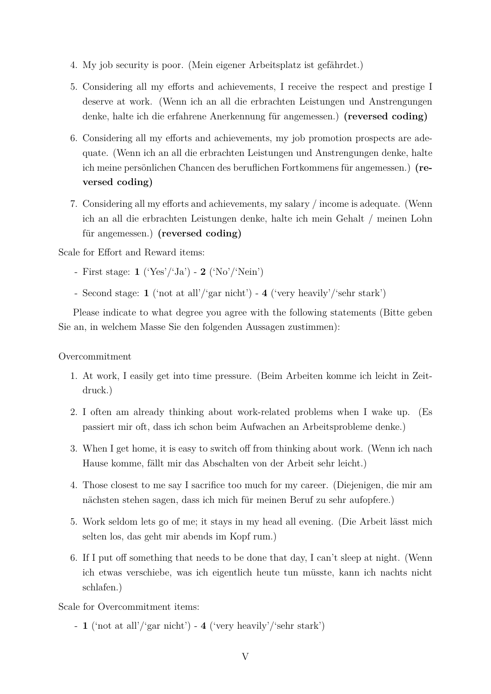- 4. My job security is poor. (Mein eigener Arbeitsplatz ist gefährdet.)
- 5. Considering all my efforts and achievements, I receive the respect and prestige I deserve at work. (Wenn ich an all die erbrachten Leistungen und Anstrengungen denke, halte ich die erfahrene Anerkennung für angemessen.) **(reversed coding)**
- 6. Considering all my efforts and achievements, my job promotion prospects are adequate. (Wenn ich an all die erbrachten Leistungen und Anstrengungen denke, halte ich meine persönlichen Chancen des beruflichen Fortkommens für angemessen.) **(reversed coding)**
- 7. Considering all my efforts and achievements, my salary / income is adequate. (Wenn ich an all die erbrachten Leistungen denke, halte ich mein Gehalt / meinen Lohn für angemessen.) **(reversed coding)**

Scale for Effort and Reward items:

- First stage: **1** ('Yes'/'Ja') **2** ('No'/'Nein')
- Second stage: **1** ('not at all'/'gar nicht') **4** ('very heavily'/'sehr stark')

Please indicate to what degree you agree with the following statements (Bitte geben Sie an, in welchem Masse Sie den folgenden Aussagen zustimmen):

#### Overcommitment

- 1. At work, I easily get into time pressure. (Beim Arbeiten komme ich leicht in Zeitdruck.)
- 2. I often am already thinking about work-related problems when I wake up. (Es passiert mir oft, dass ich schon beim Aufwachen an Arbeitsprobleme denke.)
- 3. When I get home, it is easy to switch off from thinking about work. (Wenn ich nach Hause komme, fällt mir das Abschalten von der Arbeit sehr leicht.)
- 4. Those closest to me say I sacrifice too much for my career. (Diejenigen, die mir am nächsten stehen sagen, dass ich mich für meinen Beruf zu sehr aufopfere.)
- 5. Work seldom lets go of me; it stays in my head all evening. (Die Arbeit lässt mich selten los, das geht mir abends im Kopf rum.)
- 6. If I put off something that needs to be done that day, I can't sleep at night. (Wenn ich etwas verschiebe, was ich eigentlich heute tun müsste, kann ich nachts nicht schlafen.)

Scale for Overcommitment items:

- **1** ('not at all'/'gar nicht') - **4** ('very heavily'/'sehr stark')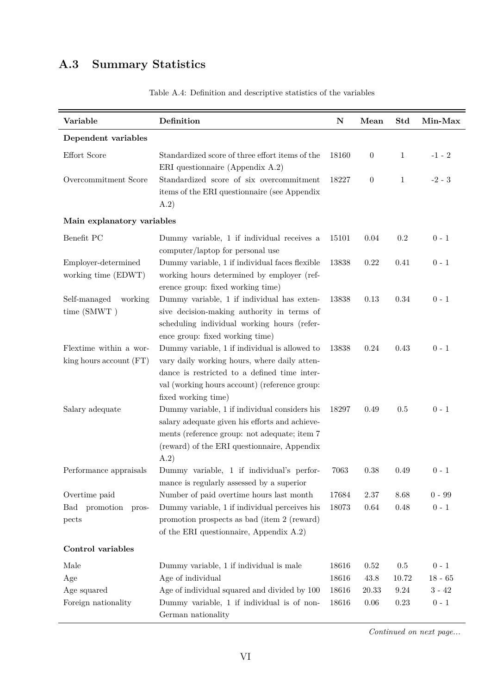# <span id="page-23-1"></span><span id="page-23-0"></span>**A.3 Summary Statistics**

| Variable                                          | Definition                                                                                                                                                                                                            | ${\bf N}$ | Mean             | Std          | Min-Max   |
|---------------------------------------------------|-----------------------------------------------------------------------------------------------------------------------------------------------------------------------------------------------------------------------|-----------|------------------|--------------|-----------|
| Dependent variables                               |                                                                                                                                                                                                                       |           |                  |              |           |
| Effort Score                                      | Standardized score of three effort items of the<br>ERI questionnaire (Appendix A.2)                                                                                                                                   | 18160     | $\boldsymbol{0}$ | 1            | $-1-2$    |
| Overcommitment Score                              | Standardized score of six overcommitment<br>items of the ERI questionnaire (see Appendix<br>(A.2)                                                                                                                     | 18227     | $\boldsymbol{0}$ | $\mathbf{1}$ | $-2 - 3$  |
| Main explanatory variables                        |                                                                                                                                                                                                                       |           |                  |              |           |
| Benefit PC                                        | Dummy variable, 1 if individual receives a<br>computer/laptop for personal use                                                                                                                                        | 15101     | 0.04             | 0.2          | $0 - 1$   |
| Employer-determined<br>working time (EDWT)        | Dummy variable, 1 if individual faces flexible<br>working hours determined by employer (ref-<br>erence group: fixed working time)                                                                                     | 13838     | 0.22             | 0.41         | $0 - 1$   |
| Self-managed<br>working<br>time (SMWT)            | Dummy variable, 1 if individual has exten-<br>sive decision-making authority in terms of<br>scheduling individual working hours (refer-<br>ence group: fixed working time)                                            | 13838     | 0.13             | 0.34         | $0 - 1$   |
| Flextime within a wor-<br>king hours account (FT) | Dummy variable, 1 if individual is allowed to<br>vary daily working hours, where daily atten-<br>dance is restricted to a defined time inter-<br>val (working hours account) (reference group:<br>fixed working time) | 13838     | 0.24             | 0.43         | $0 - 1$   |
| Salary adequate                                   | Dummy variable, 1 if individual considers his<br>salary adequate given his efforts and achieve-<br>ments (reference group: not adequate; item 7<br>(reward) of the ERI questionnaire, Appendix<br>(A.2)               | 18297     | 0.49             | 0.5          | $0 - 1$   |
| Performance appraisals                            | Dummy variable, 1 if individual's perfor-<br>mance is regularly assessed by a superior                                                                                                                                | 7063      | 0.38             | 0.49         | $0 - 1$   |
| Overtime paid                                     | Number of paid overtime hours last month                                                                                                                                                                              | 17684     | 2.37             | 8.68         | $0 - 99$  |
| Bad promotion<br>pros-<br>pects                   | Dummy variable, 1 if individual perceives his<br>promotion prospects as bad (item 2 (reward)<br>of the ERI questionnaire, Appendix A.2)                                                                               | 18073     | 0.64             | 0.48         | $0 - 1$   |
| Control variables                                 |                                                                                                                                                                                                                       |           |                  |              |           |
| Male                                              | Dummy variable, 1 if individual is male                                                                                                                                                                               | 18616     | $0.52\,$         | 0.5          | $0 - 1$   |
| Age                                               | Age of individual                                                                                                                                                                                                     | 18616     | 43.8             | 10.72        | $18 - 65$ |
| Age squared                                       | Age of individual squared and divided by 100                                                                                                                                                                          | 18616     | 20.33            | 9.24         | $3 - 42$  |
| Foreign nationality                               | Dummy variable, 1 if individual is of non-<br>German nationality                                                                                                                                                      | 18616     | 0.06             | 0.23         | $0 - 1$   |

Table A.4: Definition and descriptive statistics of the variables

*Continued on next page...*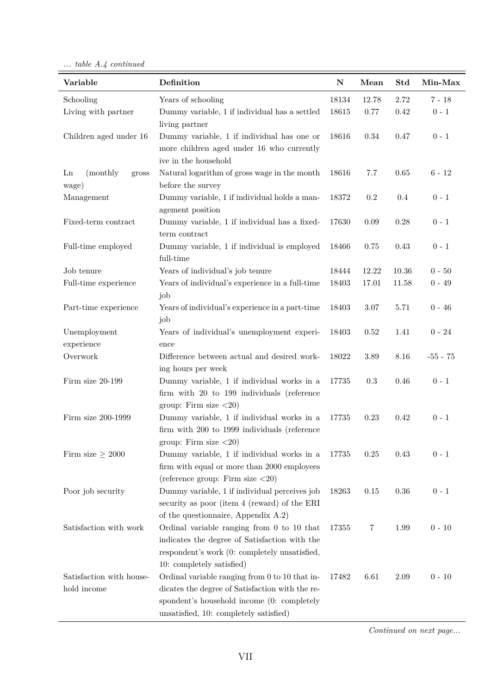*... table A.4 continued*

| Variable                 | Definition                                                                          | ${\bf N}$ | Mean      | Std      | Min-Max    |
|--------------------------|-------------------------------------------------------------------------------------|-----------|-----------|----------|------------|
| Schooling                | Years of schooling                                                                  | 18134     | 12.78     | 2.72     | $7 - 18$   |
| Living with partner      | Dummy variable, 1 if individual has a settled                                       | 18615     | 0.77      | 0.42     | $0 - 1$    |
|                          | living partner                                                                      |           |           |          |            |
| Children aged under 16   | Dummy variable, 1 if individual has one or                                          | 18616     | 0.34      | 0.47     | $0 - 1$    |
|                          | more children aged under 16 who currently                                           |           |           |          |            |
|                          | ive in the household                                                                |           |           |          |            |
| (monthly)<br>Ln<br>gross | Natural logarithm of gross wage in the month                                        | 18616     | 7.7       | 0.65     | $6 - 12$   |
| wage)                    | before the survey                                                                   |           |           |          |            |
| Management               | Dummy variable, 1 if individual holds a man-                                        | 18372     | $0.2\,$   | 0.4      | $0 - 1$    |
| Fixed-term contract      | agement position<br>Dummy variable, 1 if individual has a fixed-                    | 17630     | 0.09      | $0.28\,$ | $0 - 1$    |
|                          | term contract                                                                       |           |           |          |            |
| Full-time employed       | Dummy variable, 1 if individual is employed                                         | 18466     | 0.75      | 0.43     | $0 - 1$    |
|                          | full-time                                                                           |           |           |          |            |
| Job tenure               | Years of individual's job tenure                                                    | 18444     | 12.22     | 10.36    | $0 - 50$   |
| Full-time experience     | Years of individual's experience in a full-time                                     | 18403     | 17.01     | 11.58    | $0 - 49$   |
|                          | job                                                                                 |           |           |          |            |
| Part-time experience     | Years of individual's experience in a part-time                                     | 18403     | 3.07      | 5.71     | $0 - 46$   |
|                          | job                                                                                 |           |           |          |            |
| Unemployment             | Years of individual's unemployment experi-                                          | 18403     | 0.52      | 1.41     | $0 - 24$   |
| experience               | ence                                                                                |           |           |          |            |
| Overwork                 | Difference between actual and desired work-                                         | 18022     | 3.89      | 8.16     | $-55 - 75$ |
|                          | ing hours per week                                                                  |           |           |          |            |
| Firm size 20-199         | Dummy variable, 1 if individual works in a                                          | 17735     | $\rm 0.3$ | $0.46\,$ | $0 - 1$    |
|                          | firm with 20 to 199 individuals (reference                                          |           |           |          |            |
|                          | group: Firm size $<20$ )                                                            |           |           |          |            |
| Firm size 200-1999       | Dummy variable, 1 if individual works in a                                          | 17735     | 0.23      | 0.42     | $0 - 1$    |
|                          | firm with 200 to 1999 individuals (reference                                        |           |           |          |            |
| Firm size $\geq 2000$    | group: Firm size $\langle 20 \rangle$<br>Dummy variable, 1 if individual works in a | 17735     | 0.25      | 0.43     | $0 - 1$    |
|                          | firm with equal or more than 2000 employees                                         |           |           |          |            |
|                          | (reference group: Firm size $\langle 20 \rangle$                                    |           |           |          |            |
| Poor job security        | Dummy variable, 1 if individual perceives job                                       | 18263     | 0.15      | 0.36     | $0 - 1$    |
|                          | security as poor (item 4 (reward) of the ERI                                        |           |           |          |            |
|                          | of the questionnaire, Appendix A.2)                                                 |           |           |          |            |
| Satisfaction with work   | Ordinal variable ranging from $0$ to $10$ that                                      | 17355     | 7         | 1.99     | $0 - 10$   |
|                          | indicates the degree of Satisfaction with the                                       |           |           |          |            |
|                          | respondent's work (0: completely unsatisfied,                                       |           |           |          |            |
|                          | 10: completely satisfied)                                                           |           |           |          |            |
| Satisfaction with house- | Ordinal variable ranging from 0 to 10 that in-                                      | 17482     | 6.61      | 2.09     | $0 - 10$   |
| hold income              | dicates the degree of Satisfaction with the re-                                     |           |           |          |            |
|                          | spondent's household income (0: completely                                          |           |           |          |            |
|                          | unsatisfied, 10: completely satisfied)                                              |           |           |          |            |

*Continued on next page...*